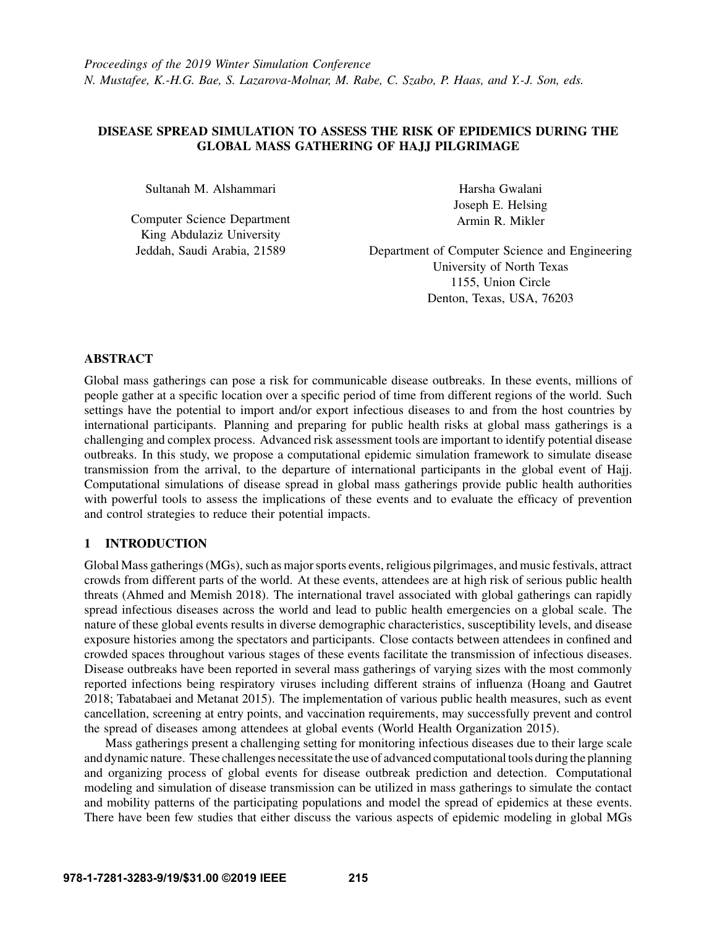# DISEASE SPREAD SIMULATION TO ASSESS THE RISK OF EPIDEMICS DURING THE GLOBAL MASS GATHERING OF HAJJ PILGRIMAGE

Sultanah M. Alshammari

Computer Science Department King Abdulaziz University Jeddah, Saudi Arabia, 21589

Harsha Gwalani Joseph E. Helsing Armin R. Mikler

Department of Computer Science and Engineering University of North Texas 1155, Union Circle Denton, Texas, USA, 76203

## ABSTRACT

Global mass gatherings can pose a risk for communicable disease outbreaks. In these events, millions of people gather at a specific location over a specific period of time from different regions of the world. Such settings have the potential to import and/or export infectious diseases to and from the host countries by international participants. Planning and preparing for public health risks at global mass gatherings is a challenging and complex process. Advanced risk assessment tools are important to identify potential disease outbreaks. In this study, we propose a computational epidemic simulation framework to simulate disease transmission from the arrival, to the departure of international participants in the global event of Hajj. Computational simulations of disease spread in global mass gatherings provide public health authorities with powerful tools to assess the implications of these events and to evaluate the efficacy of prevention and control strategies to reduce their potential impacts.

# 1 INTRODUCTION

Global Mass gatherings (MGs), such as major sports events, religious pilgrimages, and music festivals, attract crowds from different parts of the world. At these events, attendees are at high risk of serious public health threats [\(Ahmed and Memish 2018\)](#page-10-0). The international travel associated with global gatherings can rapidly spread infectious diseases across the world and lead to public health emergencies on a global scale. The nature of these global events results in diverse demographic characteristics, susceptibility levels, and disease exposure histories among the spectators and participants. Close contacts between attendees in confined and crowded spaces throughout various stages of these events facilitate the transmission of infectious diseases. Disease outbreaks have been reported in several mass gatherings of varying sizes with the most commonly reported infections being respiratory viruses including different strains of influenza [\(Hoang and Gautret](#page-11-0) [2018;](#page-11-0) [Tabatabaei and Metanat 2015\)](#page-11-1). The implementation of various public health measures, such as event cancellation, screening at entry points, and vaccination requirements, may successfully prevent and control the spread of diseases among attendees at global events [\(World Health Organization 2015\)](#page-11-2).

Mass gatherings present a challenging setting for monitoring infectious diseases due to their large scale and dynamic nature. These challenges necessitate the use of advanced computational tools during the planning and organizing process of global events for disease outbreak prediction and detection. Computational modeling and simulation of disease transmission can be utilized in mass gatherings to simulate the contact and mobility patterns of the participating populations and model the spread of epidemics at these events. There have been few studies that either discuss the various aspects of epidemic modeling in global MGs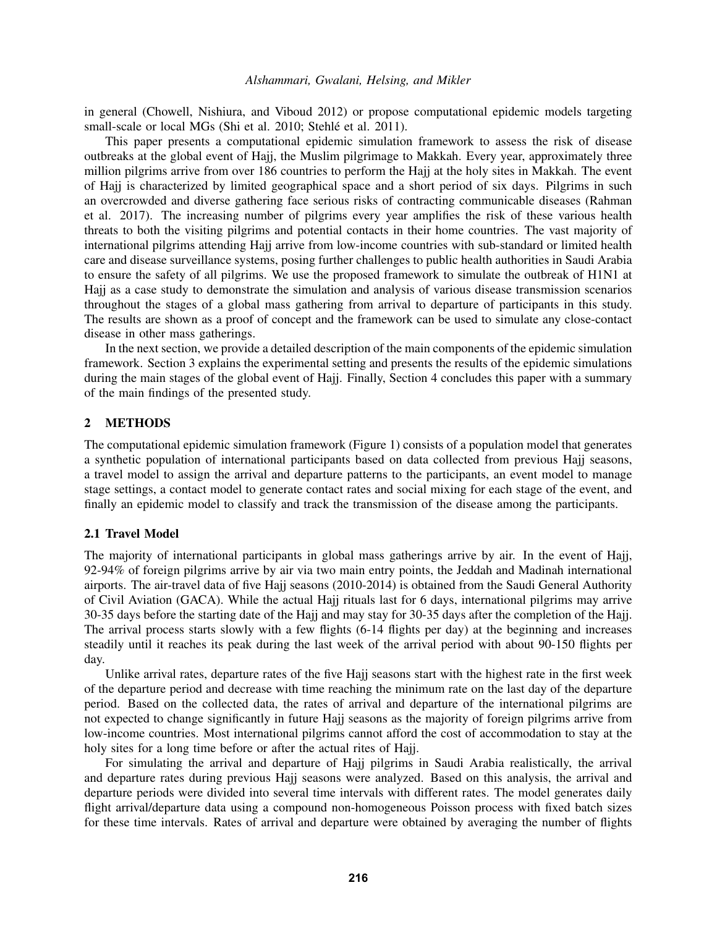in general [\(Chowell, Nishiura, and Viboud 2012\)](#page-10-1) or propose computational epidemic models targeting small-scale or local MGs [\(Shi et al. 2010;](#page-11-3) Stehlé et al. 2011).

This paper presents a computational epidemic simulation framework to assess the risk of disease outbreaks at the global event of Hajj, the Muslim pilgrimage to Makkah. Every year, approximately three million pilgrims arrive from over 186 countries to perform the Hajj at the holy sites in Makkah. The event of Hajj is characterized by limited geographical space and a short period of six days. Pilgrims in such an overcrowded and diverse gathering face serious risks of contracting communicable diseases [\(Rahman](#page-11-5) [et al. 2017\)](#page-11-5). The increasing number of pilgrims every year amplifies the risk of these various health threats to both the visiting pilgrims and potential contacts in their home countries. The vast majority of international pilgrims attending Hajj arrive from low-income countries with sub-standard or limited health care and disease surveillance systems, posing further challenges to public health authorities in Saudi Arabia to ensure the safety of all pilgrims. We use the proposed framework to simulate the outbreak of H1N1 at Hajj as a case study to demonstrate the simulation and analysis of various disease transmission scenarios throughout the stages of a global mass gathering from arrival to departure of participants in this study. The results are shown as a proof of concept and the framework can be used to simulate any close-contact disease in other mass gatherings.

In the next section, we provide a detailed description of the main components of the epidemic simulation framework. Section 3 explains the experimental setting and presents the results of the epidemic simulations during the main stages of the global event of Hajj. Finally, Section 4 concludes this paper with a summary of the main findings of the presented study.

## 2 METHODS

The computational epidemic simulation framework (Figure [1\)](#page-2-0) consists of a population model that generates a synthetic population of international participants based on data collected from previous Hajj seasons, a travel model to assign the arrival and departure patterns to the participants, an event model to manage stage settings, a contact model to generate contact rates and social mixing for each stage of the event, and finally an epidemic model to classify and track the transmission of the disease among the participants.

## 2.1 Travel Model

The majority of international participants in global mass gatherings arrive by air. In the event of Hajj, 92-94% of foreign pilgrims arrive by air via two main entry points, the Jeddah and Madinah international airports. The air-travel data of five Hajj seasons (2010-2014) is obtained from the Saudi General Authority of Civil Aviation (GACA). While the actual Hajj rituals last for 6 days, international pilgrims may arrive 30-35 days before the starting date of the Hajj and may stay for 30-35 days after the completion of the Hajj. The arrival process starts slowly with a few flights (6-14 flights per day) at the beginning and increases steadily until it reaches its peak during the last week of the arrival period with about 90-150 flights per day.

Unlike arrival rates, departure rates of the five Hajj seasons start with the highest rate in the first week of the departure period and decrease with time reaching the minimum rate on the last day of the departure period. Based on the collected data, the rates of arrival and departure of the international pilgrims are not expected to change significantly in future Hajj seasons as the majority of foreign pilgrims arrive from low-income countries. Most international pilgrims cannot afford the cost of accommodation to stay at the holy sites for a long time before or after the actual rites of Hajj.

For simulating the arrival and departure of Hajj pilgrims in Saudi Arabia realistically, the arrival and departure rates during previous Hajj seasons were analyzed. Based on this analysis, the arrival and departure periods were divided into several time intervals with different rates. The model generates daily flight arrival/departure data using a compound non-homogeneous Poisson process with fixed batch sizes for these time intervals. Rates of arrival and departure were obtained by averaging the number of flights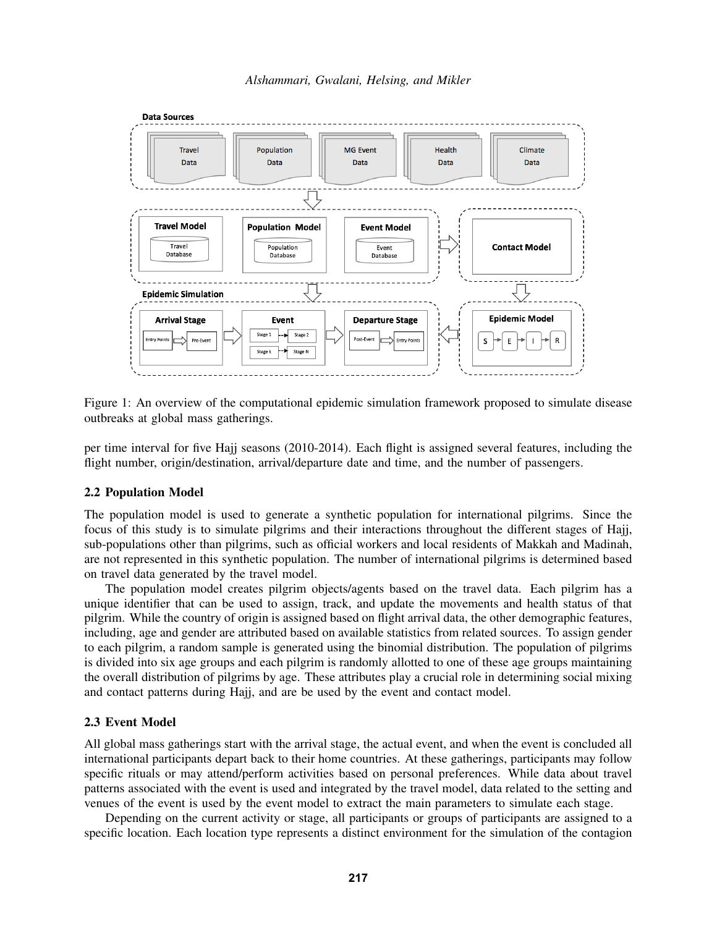

<span id="page-2-0"></span>Figure 1: An overview of the computational epidemic simulation framework proposed to simulate disease outbreaks at global mass gatherings.

per time interval for five Hajj seasons (2010-2014). Each flight is assigned several features, including the flight number, origin/destination, arrival/departure date and time, and the number of passengers.

#### 2.2 Population Model

The population model is used to generate a synthetic population for international pilgrims. Since the focus of this study is to simulate pilgrims and their interactions throughout the different stages of Hajj, sub-populations other than pilgrims, such as official workers and local residents of Makkah and Madinah, are not represented in this synthetic population. The number of international pilgrims is determined based on travel data generated by the travel model.

The population model creates pilgrim objects/agents based on the travel data. Each pilgrim has a unique identifier that can be used to assign, track, and update the movements and health status of that pilgrim. While the country of origin is assigned based on flight arrival data, the other demographic features, including, age and gender are attributed based on available statistics from related sources. To assign gender to each pilgrim, a random sample is generated using the binomial distribution. The population of pilgrims is divided into six age groups and each pilgrim is randomly allotted to one of these age groups maintaining the overall distribution of pilgrims by age. These attributes play a crucial role in determining social mixing and contact patterns during Hajj, and are be used by the event and contact model.

## 2.3 Event Model

All global mass gatherings start with the arrival stage, the actual event, and when the event is concluded all international participants depart back to their home countries. At these gatherings, participants may follow specific rituals or may attend/perform activities based on personal preferences. While data about travel patterns associated with the event is used and integrated by the travel model, data related to the setting and venues of the event is used by the event model to extract the main parameters to simulate each stage.

Depending on the current activity or stage, all participants or groups of participants are assigned to a specific location. Each location type represents a distinct environment for the simulation of the contagion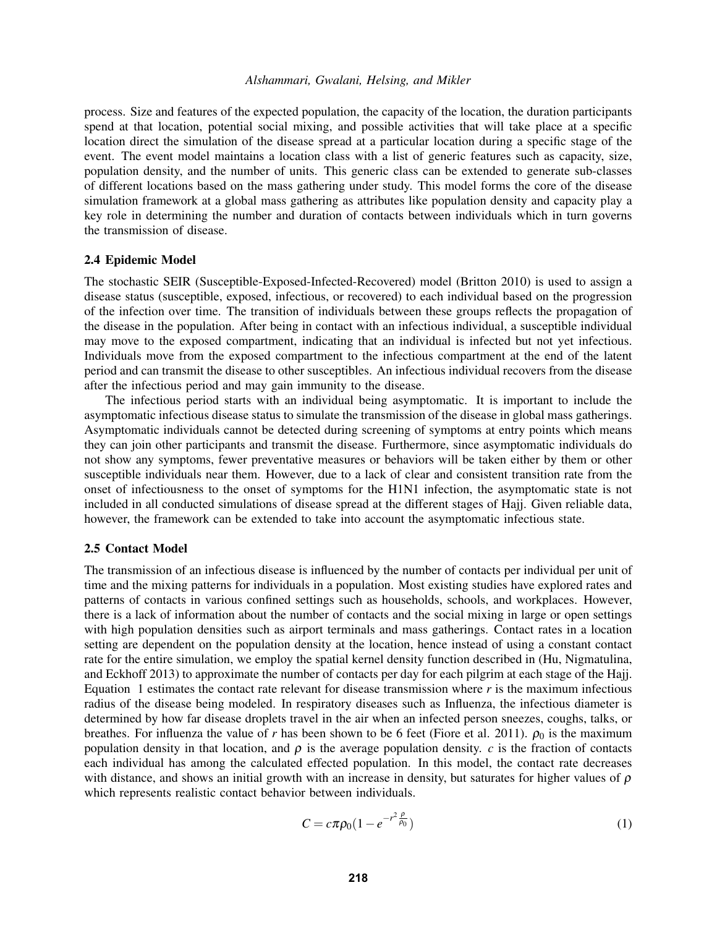process. Size and features of the expected population, the capacity of the location, the duration participants spend at that location, potential social mixing, and possible activities that will take place at a specific location direct the simulation of the disease spread at a particular location during a specific stage of the event. The event model maintains a location class with a list of generic features such as capacity, size, population density, and the number of units. This generic class can be extended to generate sub-classes of different locations based on the mass gathering under study. This model forms the core of the disease simulation framework at a global mass gathering as attributes like population density and capacity play a key role in determining the number and duration of contacts between individuals which in turn governs the transmission of disease.

### 2.4 Epidemic Model

The stochastic SEIR (Susceptible-Exposed-Infected-Recovered) model [\(Britton 2010\)](#page-10-2) is used to assign a disease status (susceptible, exposed, infectious, or recovered) to each individual based on the progression of the infection over time. The transition of individuals between these groups reflects the propagation of the disease in the population. After being in contact with an infectious individual, a susceptible individual may move to the exposed compartment, indicating that an individual is infected but not yet infectious. Individuals move from the exposed compartment to the infectious compartment at the end of the latent period and can transmit the disease to other susceptibles. An infectious individual recovers from the disease after the infectious period and may gain immunity to the disease.

The infectious period starts with an individual being asymptomatic. It is important to include the asymptomatic infectious disease status to simulate the transmission of the disease in global mass gatherings. Asymptomatic individuals cannot be detected during screening of symptoms at entry points which means they can join other participants and transmit the disease. Furthermore, since asymptomatic individuals do not show any symptoms, fewer preventative measures or behaviors will be taken either by them or other susceptible individuals near them. However, due to a lack of clear and consistent transition rate from the onset of infectiousness to the onset of symptoms for the H1N1 infection, the asymptomatic state is not included in all conducted simulations of disease spread at the different stages of Hajj. Given reliable data, however, the framework can be extended to take into account the asymptomatic infectious state.

## 2.5 Contact Model

The transmission of an infectious disease is influenced by the number of contacts per individual per unit of time and the mixing patterns for individuals in a population. Most existing studies have explored rates and patterns of contacts in various confined settings such as households, schools, and workplaces. However, there is a lack of information about the number of contacts and the social mixing in large or open settings with high population densities such as airport terminals and mass gatherings. Contact rates in a location setting are dependent on the population density at the location, hence instead of using a constant contact rate for the entire simulation, we employ the spatial kernel density function described in [\(Hu, Nigmatulina,](#page-11-6) [and Eckhoff 2013\)](#page-11-6) to approximate the number of contacts per day for each pilgrim at each stage of the Hajj. Equation [1](#page-3-0) estimates the contact rate relevant for disease transmission where  $r$  is the maximum infectious radius of the disease being modeled. In respiratory diseases such as Influenza, the infectious diameter is determined by how far disease droplets travel in the air when an infected person sneezes, coughs, talks, or breathes. For influenza the value of *r* has been shown to be 6 feet [\(Fiore et al. 2011\)](#page-10-3).  $\rho_0$  is the maximum population density in that location, and  $\rho$  is the average population density. *c* is the fraction of contacts each individual has among the calculated effected population. In this model, the contact rate decreases with distance, and shows an initial growth with an increase in density, but saturates for higher values of  $\rho$ which represents realistic contact behavior between individuals.

<span id="page-3-0"></span>
$$
C = c\pi \rho_0 (1 - e^{-r^2 \frac{\rho}{\rho_0}})
$$
\n<sup>(1)</sup>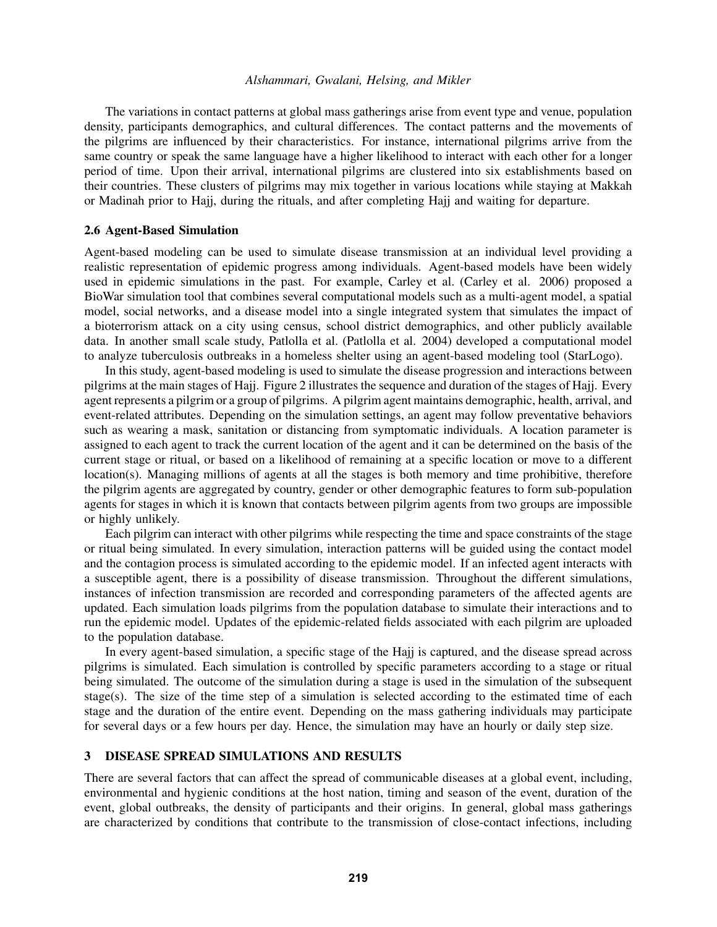The variations in contact patterns at global mass gatherings arise from event type and venue, population density, participants demographics, and cultural differences. The contact patterns and the movements of the pilgrims are influenced by their characteristics. For instance, international pilgrims arrive from the same country or speak the same language have a higher likelihood to interact with each other for a longer period of time. Upon their arrival, international pilgrims are clustered into six establishments based on their countries. These clusters of pilgrims may mix together in various locations while staying at Makkah or Madinah prior to Hajj, during the rituals, and after completing Hajj and waiting for departure.

#### 2.6 Agent-Based Simulation

Agent-based modeling can be used to simulate disease transmission at an individual level providing a realistic representation of epidemic progress among individuals. Agent-based models have been widely used in epidemic simulations in the past. For example, Carley et al. [\(Carley et al. 2006\)](#page-10-4) proposed a BioWar simulation tool that combines several computational models such as a multi-agent model, a spatial model, social networks, and a disease model into a single integrated system that simulates the impact of a bioterrorism attack on a city using census, school district demographics, and other publicly available data. In another small scale study, Patlolla et al. [\(Patlolla et al. 2004\)](#page-11-7) developed a computational model to analyze tuberculosis outbreaks in a homeless shelter using an agent-based modeling tool (StarLogo).

In this study, agent-based modeling is used to simulate the disease progression and interactions between pilgrims at the main stages of Hajj. Figure [2](#page-5-0) illustrates the sequence and duration of the stages of Hajj. Every agent represents a pilgrim or a group of pilgrims. A pilgrim agent maintains demographic, health, arrival, and event-related attributes. Depending on the simulation settings, an agent may follow preventative behaviors such as wearing a mask, sanitation or distancing from symptomatic individuals. A location parameter is assigned to each agent to track the current location of the agent and it can be determined on the basis of the current stage or ritual, or based on a likelihood of remaining at a specific location or move to a different location(s). Managing millions of agents at all the stages is both memory and time prohibitive, therefore the pilgrim agents are aggregated by country, gender or other demographic features to form sub-population agents for stages in which it is known that contacts between pilgrim agents from two groups are impossible or highly unlikely.

Each pilgrim can interact with other pilgrims while respecting the time and space constraints of the stage or ritual being simulated. In every simulation, interaction patterns will be guided using the contact model and the contagion process is simulated according to the epidemic model. If an infected agent interacts with a susceptible agent, there is a possibility of disease transmission. Throughout the different simulations, instances of infection transmission are recorded and corresponding parameters of the affected agents are updated. Each simulation loads pilgrims from the population database to simulate their interactions and to run the epidemic model. Updates of the epidemic-related fields associated with each pilgrim are uploaded to the population database.

In every agent-based simulation, a specific stage of the Hajj is captured, and the disease spread across pilgrims is simulated. Each simulation is controlled by specific parameters according to a stage or ritual being simulated. The outcome of the simulation during a stage is used in the simulation of the subsequent stage(s). The size of the time step of a simulation is selected according to the estimated time of each stage and the duration of the entire event. Depending on the mass gathering individuals may participate for several days or a few hours per day. Hence, the simulation may have an hourly or daily step size.

## 3 DISEASE SPREAD SIMULATIONS AND RESULTS

There are several factors that can affect the spread of communicable diseases at a global event, including, environmental and hygienic conditions at the host nation, timing and season of the event, duration of the event, global outbreaks, the density of participants and their origins. In general, global mass gatherings are characterized by conditions that contribute to the transmission of close-contact infections, including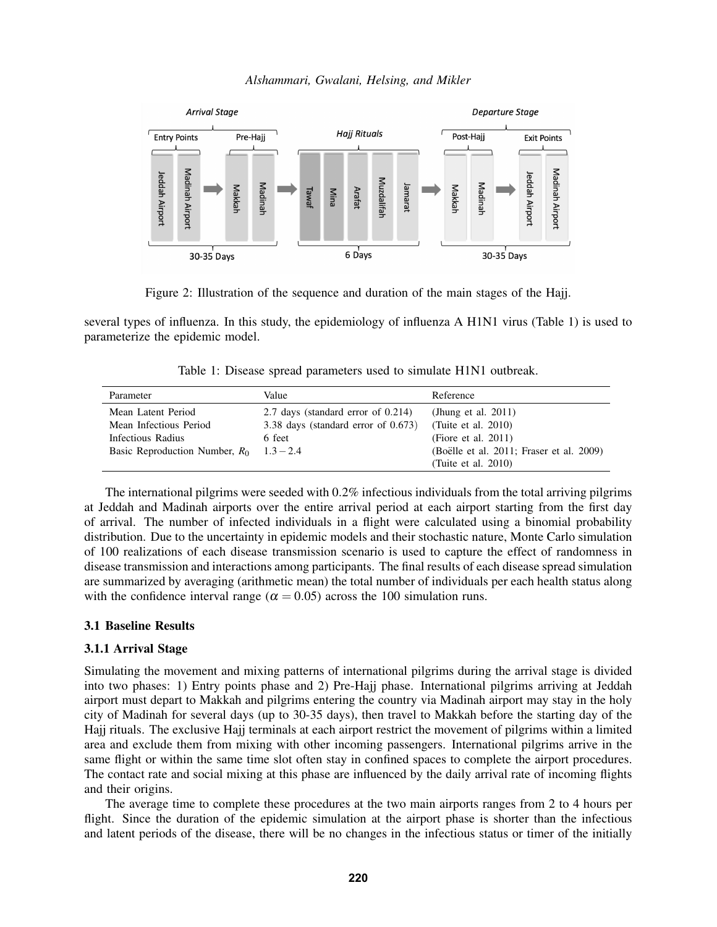



<span id="page-5-0"></span>Figure 2: Illustration of the sequence and duration of the main stages of the Hajj.

several types of influenza. In this study, the epidemiology of influenza A H1N1 virus (Table [1\)](#page-5-1) is used to parameterize the epidemic model.

<span id="page-5-1"></span>Table 1: Disease spread parameters used to simulate H1N1 outbreak.

| Parameter                        | Value                               | Reference                                |
|----------------------------------|-------------------------------------|------------------------------------------|
| Mean Latent Period               | 2.7 days (standard error of 0.214)  | (Jhung et al. $2011$ )                   |
| Mean Infectious Period           | 3.38 days (standard error of 0.673) | (Tuite et al. $2010$ )                   |
| Infectious Radius                | 6 feet                              | (Fiore et al. $2011$ )                   |
| Basic Reproduction Number, $R_0$ | $1.3 - 2.4$                         | (Boëlle et al. 2011; Fraser et al. 2009) |
|                                  |                                     | (Tuite et al. 2010)                      |

The international pilgrims were seeded with 0.2% infectious individuals from the total arriving pilgrims at Jeddah and Madinah airports over the entire arrival period at each airport starting from the first day of arrival. The number of infected individuals in a flight were calculated using a binomial probability distribution. Due to the uncertainty in epidemic models and their stochastic nature, Monte Carlo simulation of 100 realizations of each disease transmission scenario is used to capture the effect of randomness in disease transmission and interactions among participants. The final results of each disease spread simulation are summarized by averaging (arithmetic mean) the total number of individuals per each health status along with the confidence interval range ( $\alpha = 0.05$ ) across the 100 simulation runs.

## 3.1 Baseline Results

## 3.1.1 Arrival Stage

Simulating the movement and mixing patterns of international pilgrims during the arrival stage is divided into two phases: 1) Entry points phase and 2) Pre-Hajj phase. International pilgrims arriving at Jeddah airport must depart to Makkah and pilgrims entering the country via Madinah airport may stay in the holy city of Madinah for several days (up to 30-35 days), then travel to Makkah before the starting day of the Hajj rituals. The exclusive Hajj terminals at each airport restrict the movement of pilgrims within a limited area and exclude them from mixing with other incoming passengers. International pilgrims arrive in the same flight or within the same time slot often stay in confined spaces to complete the airport procedures. The contact rate and social mixing at this phase are influenced by the daily arrival rate of incoming flights and their origins.

The average time to complete these procedures at the two main airports ranges from 2 to 4 hours per flight. Since the duration of the epidemic simulation at the airport phase is shorter than the infectious and latent periods of the disease, there will be no changes in the infectious status or timer of the initially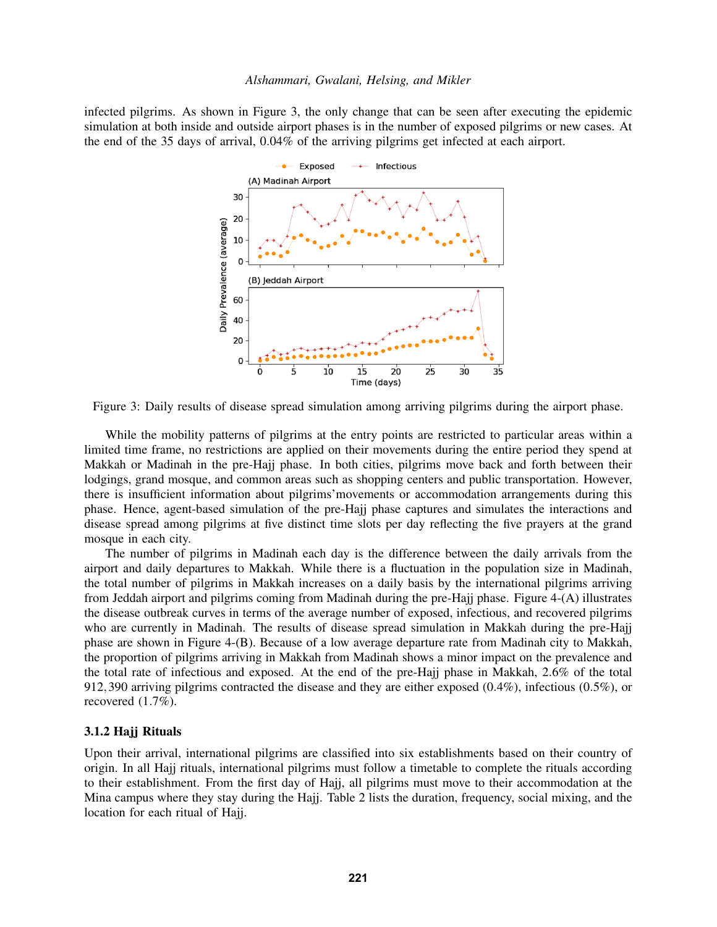infected pilgrims. As shown in Figure [3,](#page-6-0) the only change that can be seen after executing the epidemic simulation at both inside and outside airport phases is in the number of exposed pilgrims or new cases. At the end of the 35 days of arrival, 0.04% of the arriving pilgrims get infected at each airport.



<span id="page-6-0"></span>Figure 3: Daily results of disease spread simulation among arriving pilgrims during the airport phase.

While the mobility patterns of pilgrims at the entry points are restricted to particular areas within a limited time frame, no restrictions are applied on their movements during the entire period they spend at Makkah or Madinah in the pre-Hajj phase. In both cities, pilgrims move back and forth between their lodgings, grand mosque, and common areas such as shopping centers and public transportation. However, there is insufficient information about pilgrims'movements or accommodation arrangements during this phase. Hence, agent-based simulation of the pre-Hajj phase captures and simulates the interactions and disease spread among pilgrims at five distinct time slots per day reflecting the five prayers at the grand mosque in each city.

The number of pilgrims in Madinah each day is the difference between the daily arrivals from the airport and daily departures to Makkah. While there is a fluctuation in the population size in Madinah, the total number of pilgrims in Makkah increases on a daily basis by the international pilgrims arriving from Jeddah airport and pilgrims coming from Madinah during the pre-Hajj phase. Figure [4-](#page-7-0)(A) illustrates the disease outbreak curves in terms of the average number of exposed, infectious, and recovered pilgrims who are currently in Madinah. The results of disease spread simulation in Makkah during the pre-Hajj phase are shown in Figure [4-](#page-7-0)(B). Because of a low average departure rate from Madinah city to Makkah, the proportion of pilgrims arriving in Makkah from Madinah shows a minor impact on the prevalence and the total rate of infectious and exposed. At the end of the pre-Hajj phase in Makkah, 2.6% of the total 912,390 arriving pilgrims contracted the disease and they are either exposed (0.4%), infectious (0.5%), or recovered (1.7%).

#### 3.1.2 Hajj Rituals

Upon their arrival, international pilgrims are classified into six establishments based on their country of origin. In all Hajj rituals, international pilgrims must follow a timetable to complete the rituals according to their establishment. From the first day of Hajj, all pilgrims must move to their accommodation at the Mina campus where they stay during the Hajj. Table [2](#page-7-1) lists the duration, frequency, social mixing, and the location for each ritual of Hajj.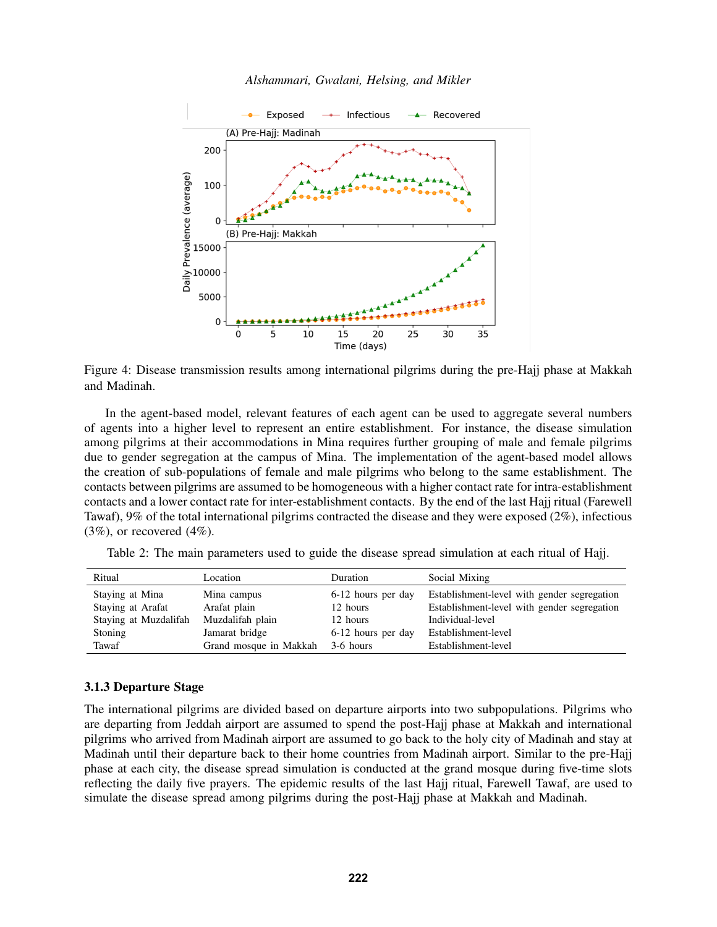

*Alshammari, Gwalani, Helsing, and Mikler*

<span id="page-7-0"></span>Figure 4: Disease transmission results among international pilgrims during the pre-Hajj phase at Makkah and Madinah.

In the agent-based model, relevant features of each agent can be used to aggregate several numbers of agents into a higher level to represent an entire establishment. For instance, the disease simulation among pilgrims at their accommodations in Mina requires further grouping of male and female pilgrims due to gender segregation at the campus of Mina. The implementation of the agent-based model allows the creation of sub-populations of female and male pilgrims who belong to the same establishment. The contacts between pilgrims are assumed to be homogeneous with a higher contact rate for intra-establishment contacts and a lower contact rate for inter-establishment contacts. By the end of the last Hajj ritual (Farewell Tawaf), 9% of the total international pilgrims contracted the disease and they were exposed (2%), infectious  $(3\%)$ , or recovered  $(4\%)$ .

| Ritual                | Location               | <b>Duration</b>    | Social Mixing                               |
|-----------------------|------------------------|--------------------|---------------------------------------------|
| Staying at Mina       | Mina campus            | 6-12 hours per day | Establishment-level with gender segregation |
| Staying at Arafat     | Arafat plain           | 12 hours           | Establishment-level with gender segregation |
| Staying at Muzdalifah | Muzdalifah plain       | 12 hours           | Individual-level                            |
| Stoning               | Jamarat bridge         | 6-12 hours per day | Establishment-level                         |
| Tawaf                 | Grand mosque in Makkah | 3-6 hours          | Establishment-level                         |

<span id="page-7-1"></span>Table 2: The main parameters used to guide the disease spread simulation at each ritual of Hajj.

## 3.1.3 Departure Stage

The international pilgrims are divided based on departure airports into two subpopulations. Pilgrims who are departing from Jeddah airport are assumed to spend the post-Hajj phase at Makkah and international pilgrims who arrived from Madinah airport are assumed to go back to the holy city of Madinah and stay at Madinah until their departure back to their home countries from Madinah airport. Similar to the pre-Hajj phase at each city, the disease spread simulation is conducted at the grand mosque during five-time slots reflecting the daily five prayers. The epidemic results of the last Hajj ritual, Farewell Tawaf, are used to simulate the disease spread among pilgrims during the post-Hajj phase at Makkah and Madinah.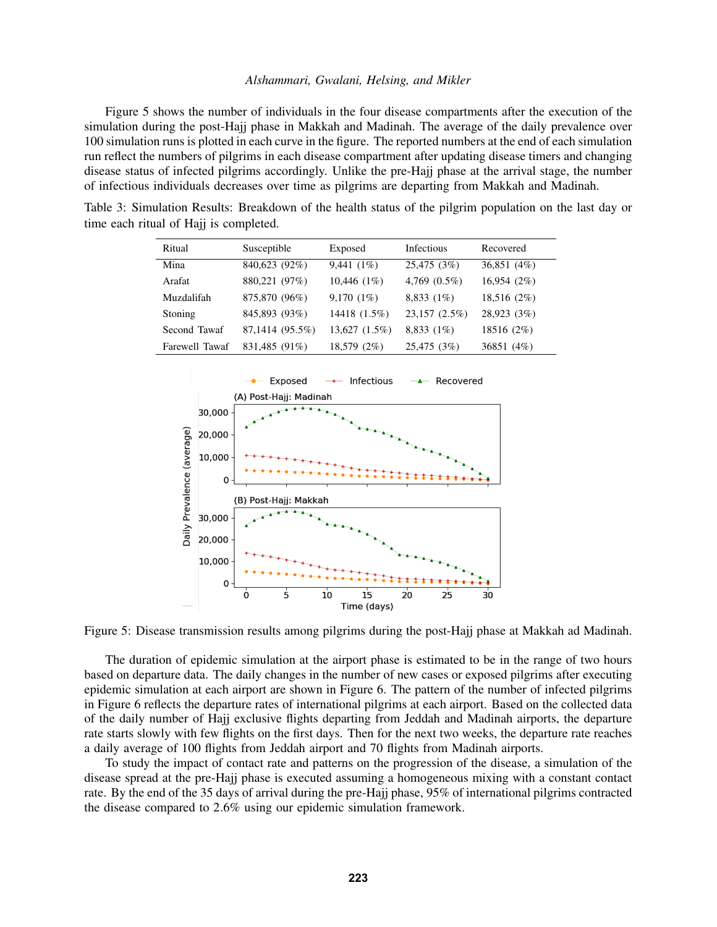Figure [5](#page-8-0) shows the number of individuals in the four disease compartments after the execution of the simulation during the post-Hajj phase in Makkah and Madinah. The average of the daily prevalence over 100 simulation runs is plotted in each curve in the figure. The reported numbers at the end of each simulation run reflect the numbers of pilgrims in each disease compartment after updating disease timers and changing disease status of infected pilgrims accordingly. Unlike the pre-Hajj phase at the arrival stage, the number of infectious individuals decreases over time as pilgrims are departing from Makkah and Madinah.

Table 3: Simulation Results: Breakdown of the health status of the pilgrim population on the last day or time each ritual of Hajj is completed.

| Ritual         | Susceptible     | Exposed       | Infectious      | Recovered   |
|----------------|-----------------|---------------|-----------------|-------------|
| Mina           | 840,623 (92%)   | 9,441(1%)     | 25,475 (3%)     | 36,851(4%)  |
| Arafat         | 880,221 (97%)   | 10,446(1%)    | 4,769 $(0.5\%)$ | 16,954(2%)  |
| Muzdalifah     | 875,870 (96%)   | $9,170(1\%)$  | $8,833(1\%)$    | 18,516(2%)  |
| Stoning        | 845,893 (93%)   | 14418 (1.5%)  | 23,157 (2.5%)   | 28,923 (3%) |
| Second Tawaf   | 87,1414 (95.5%) | 13,627 (1.5%) | $8,833(1\%)$    | 18516 (2%)  |
| Farewell Tawaf | 831,485 (91%)   | 18,579 (2%)   | 25,475 (3%)     | 36851 (4%)  |
|                |                 |               |                 |             |



<span id="page-8-0"></span>Figure 5: Disease transmission results among pilgrims during the post-Hajj phase at Makkah ad Madinah.

The duration of epidemic simulation at the airport phase is estimated to be in the range of two hours based on departure data. The daily changes in the number of new cases or exposed pilgrims after executing epidemic simulation at each airport are shown in Figure [6.](#page-9-0) The pattern of the number of infected pilgrims in Figure [6](#page-9-0) reflects the departure rates of international pilgrims at each airport. Based on the collected data of the daily number of Hajj exclusive flights departing from Jeddah and Madinah airports, the departure rate starts slowly with few flights on the first days. Then for the next two weeks, the departure rate reaches a daily average of 100 flights from Jeddah airport and 70 flights from Madinah airports.

To study the impact of contact rate and patterns on the progression of the disease, a simulation of the disease spread at the pre-Hajj phase is executed assuming a homogeneous mixing with a constant contact rate. By the end of the 35 days of arrival during the pre-Hajj phase, 95% of international pilgrims contracted the disease compared to 2.6% using our epidemic simulation framework.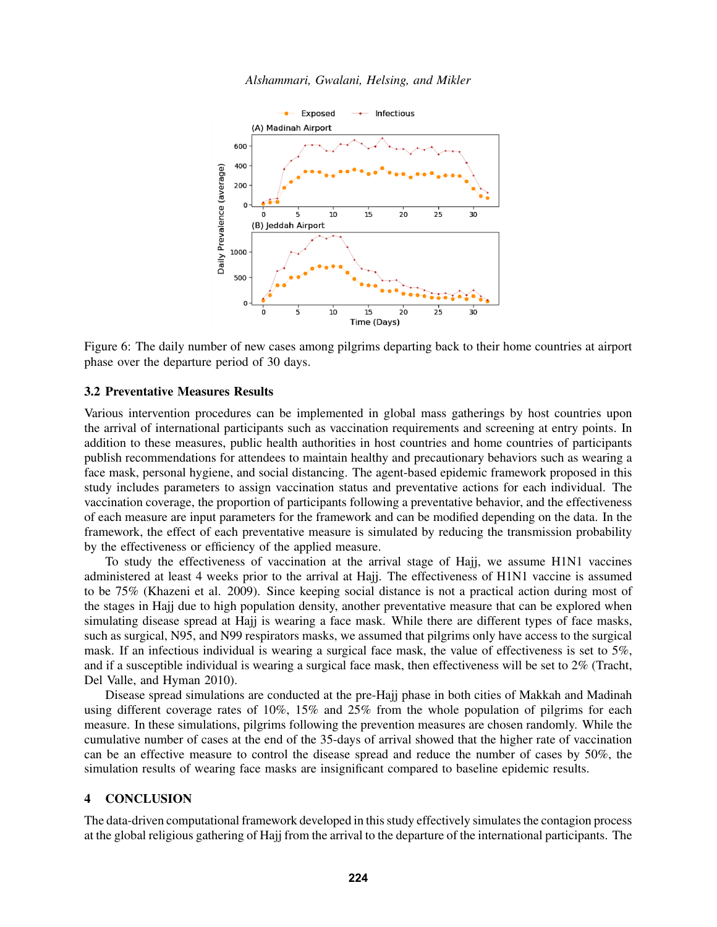

<span id="page-9-0"></span>Figure 6: The daily number of new cases among pilgrims departing back to their home countries at airport phase over the departure period of 30 days.

### 3.2 Preventative Measures Results

Various intervention procedures can be implemented in global mass gatherings by host countries upon the arrival of international participants such as vaccination requirements and screening at entry points. In addition to these measures, public health authorities in host countries and home countries of participants publish recommendations for attendees to maintain healthy and precautionary behaviors such as wearing a face mask, personal hygiene, and social distancing. The agent-based epidemic framework proposed in this study includes parameters to assign vaccination status and preventative actions for each individual. The vaccination coverage, the proportion of participants following a preventative behavior, and the effectiveness of each measure are input parameters for the framework and can be modified depending on the data. In the framework, the effect of each preventative measure is simulated by reducing the transmission probability by the effectiveness or efficiency of the applied measure.

To study the effectiveness of vaccination at the arrival stage of Hajj, we assume H1N1 vaccines administered at least 4 weeks prior to the arrival at Hajj. The effectiveness of H1N1 vaccine is assumed to be 75% [\(Khazeni et al. 2009\)](#page-11-10). Since keeping social distance is not a practical action during most of the stages in Hajj due to high population density, another preventative measure that can be explored when simulating disease spread at Hajj is wearing a face mask. While there are different types of face masks, such as surgical, N95, and N99 respirators masks, we assumed that pilgrims only have access to the surgical mask. If an infectious individual is wearing a surgical face mask, the value of effectiveness is set to 5%, and if a susceptible individual is wearing a surgical face mask, then effectiveness will be set to 2% [\(Tracht,](#page-11-11) [Del Valle, and Hyman 2010\)](#page-11-11).

Disease spread simulations are conducted at the pre-Hajj phase in both cities of Makkah and Madinah using different coverage rates of 10%, 15% and 25% from the whole population of pilgrims for each measure. In these simulations, pilgrims following the prevention measures are chosen randomly. While the cumulative number of cases at the end of the 35-days of arrival showed that the higher rate of vaccination can be an effective measure to control the disease spread and reduce the number of cases by 50%, the simulation results of wearing face masks are insignificant compared to baseline epidemic results.

## 4 CONCLUSION

The data-driven computational framework developed in this study effectively simulates the contagion process at the global religious gathering of Hajj from the arrival to the departure of the international participants. The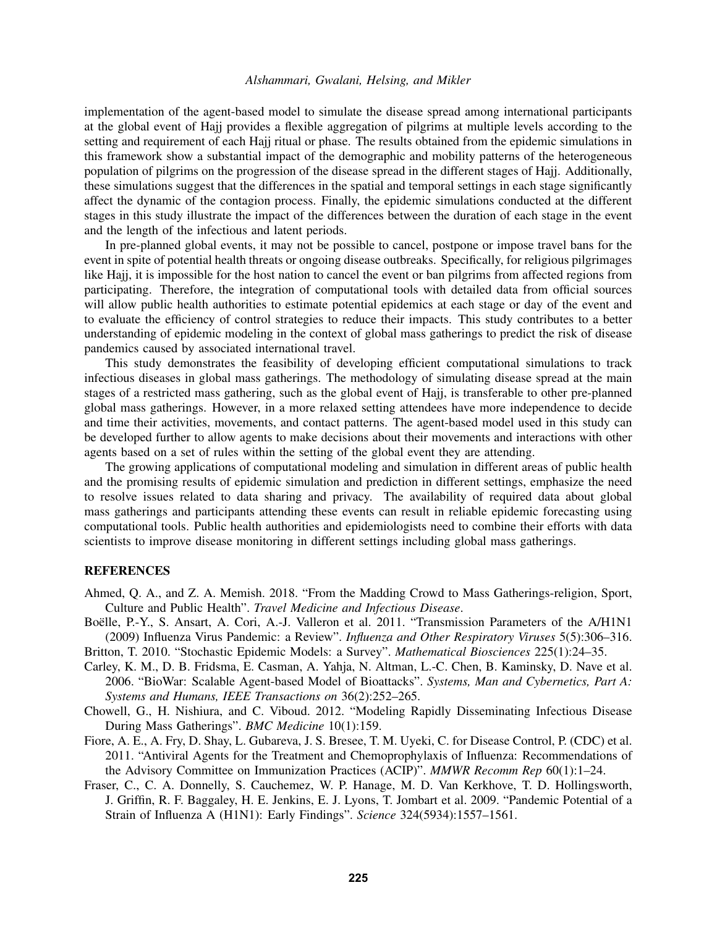implementation of the agent-based model to simulate the disease spread among international participants at the global event of Hajj provides a flexible aggregation of pilgrims at multiple levels according to the setting and requirement of each Hajj ritual or phase. The results obtained from the epidemic simulations in this framework show a substantial impact of the demographic and mobility patterns of the heterogeneous population of pilgrims on the progression of the disease spread in the different stages of Hajj. Additionally, these simulations suggest that the differences in the spatial and temporal settings in each stage significantly affect the dynamic of the contagion process. Finally, the epidemic simulations conducted at the different stages in this study illustrate the impact of the differences between the duration of each stage in the event and the length of the infectious and latent periods.

In pre-planned global events, it may not be possible to cancel, postpone or impose travel bans for the event in spite of potential health threats or ongoing disease outbreaks. Specifically, for religious pilgrimages like Hajj, it is impossible for the host nation to cancel the event or ban pilgrims from affected regions from participating. Therefore, the integration of computational tools with detailed data from official sources will allow public health authorities to estimate potential epidemics at each stage or day of the event and to evaluate the efficiency of control strategies to reduce their impacts. This study contributes to a better understanding of epidemic modeling in the context of global mass gatherings to predict the risk of disease pandemics caused by associated international travel.

This study demonstrates the feasibility of developing efficient computational simulations to track infectious diseases in global mass gatherings. The methodology of simulating disease spread at the main stages of a restricted mass gathering, such as the global event of Hajj, is transferable to other pre-planned global mass gatherings. However, in a more relaxed setting attendees have more independence to decide and time their activities, movements, and contact patterns. The agent-based model used in this study can be developed further to allow agents to make decisions about their movements and interactions with other agents based on a set of rules within the setting of the global event they are attending.

The growing applications of computational modeling and simulation in different areas of public health and the promising results of epidemic simulation and prediction in different settings, emphasize the need to resolve issues related to data sharing and privacy. The availability of required data about global mass gatherings and participants attending these events can result in reliable epidemic forecasting using computational tools. Public health authorities and epidemiologists need to combine their efforts with data scientists to improve disease monitoring in different settings including global mass gatherings.

## REFERENCES

- <span id="page-10-0"></span>Ahmed, Q. A., and Z. A. Memish. 2018. "From the Madding Crowd to Mass Gatherings-religion, Sport, Culture and Public Health". *Travel Medicine and Infectious Disease*.
- <span id="page-10-5"></span>Boëlle, P.-Y., S. Ansart, A. Cori, A.-J. Valleron et al. 2011. "Transmission Parameters of the A/H1N1 (2009) Influenza Virus Pandemic: a Review". *Influenza and Other Respiratory Viruses* 5(5):306–316.

<span id="page-10-2"></span>Britton, T. 2010. "Stochastic Epidemic Models: a Survey". *Mathematical Biosciences* 225(1):24–35.

- <span id="page-10-4"></span>Carley, K. M., D. B. Fridsma, E. Casman, A. Yahja, N. Altman, L.-C. Chen, B. Kaminsky, D. Nave et al. 2006. "BioWar: Scalable Agent-based Model of Bioattacks". *Systems, Man and Cybernetics, Part A: Systems and Humans, IEEE Transactions on* 36(2):252–265.
- <span id="page-10-1"></span>Chowell, G., H. Nishiura, and C. Viboud. 2012. "Modeling Rapidly Disseminating Infectious Disease During Mass Gatherings". *BMC Medicine* 10(1):159.
- <span id="page-10-3"></span>Fiore, A. E., A. Fry, D. Shay, L. Gubareva, J. S. Bresee, T. M. Uyeki, C. for Disease Control, P. (CDC) et al. 2011. "Antiviral Agents for the Treatment and Chemoprophylaxis of Influenza: Recommendations of the Advisory Committee on Immunization Practices (ACIP)". *MMWR Recomm Rep* 60(1):1–24.
- <span id="page-10-6"></span>Fraser, C., C. A. Donnelly, S. Cauchemez, W. P. Hanage, M. D. Van Kerkhove, T. D. Hollingsworth, J. Griffin, R. F. Baggaley, H. E. Jenkins, E. J. Lyons, T. Jombart et al. 2009. "Pandemic Potential of a Strain of Influenza A (H1N1): Early Findings". *Science* 324(5934):1557–1561.